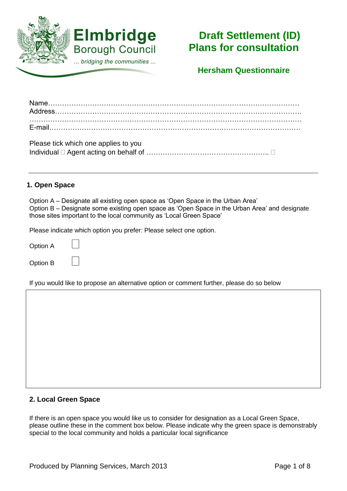

# **Draft Settlement (ID) Plans for consultation**

**Hersham Questionnaire**

| Please tick which one applies to you |  |
|--------------------------------------|--|
|                                      |  |

### **1. Open Space**

Option A – Designate all existing open space as 'Open Space in the Urban Area' Option B – Designate some existing open space as 'Open Space in the Urban Area' and designate those sites important to the local community as 'Local Green Space'

Please indicate which option you prefer: Please select one option.

Option A

Option B

If you would like to propose an alternative option or comment further, please do so below

#### **2. Local Green Space**

If there is an open space you would like us to consider for designation as a Local Green Space, please outline these in the comment box below. Please indicate why the green space is demonstrably special to the local community and holds a particular local significance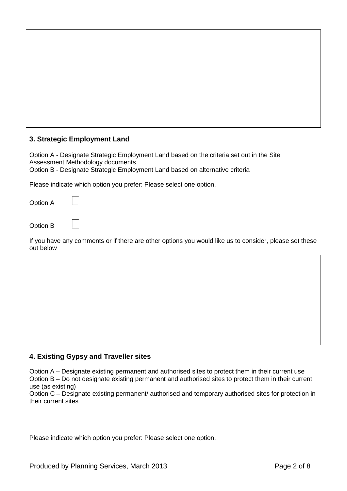Option A - Designate Strategic Employment Land based on the criteria set out in the Site Assessment Methodology documents Option B - Designate Strategic Employment Land based on alternative criteria

Please indicate which option you prefer: Please select one option.

Option A

Option B

If you have any comments or if there are other options you would like us to consider, please set these out below

#### **4. Existing Gypsy and Traveller sites**

Option A – Designate existing permanent and authorised sites to protect them in their current use Option B – Do not designate existing permanent and authorised sites to protect them in their current use (as existing)

Option C – Designate existing permanent/ authorised and temporary authorised sites for protection in their current sites

Please indicate which option you prefer: Please select one option.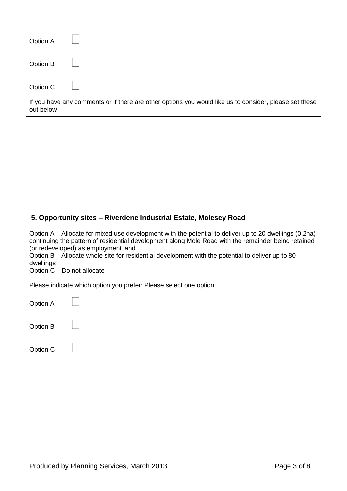| Option A |  |
|----------|--|
| Option B |  |
| Option C |  |

If you have any comments or if there are other options you would like us to consider, please set these out below

#### **5. Opportunity sites – Riverdene Industrial Estate, Molesey Road**

Option A – Allocate for mixed use development with the potential to deliver up to 20 dwellings (0.2ha) continuing the pattern of residential development along Mole Road with the remainder being retained (or redeveloped) as employment land

Option B – Allocate whole site for residential development with the potential to deliver up to 80 dwellings

Option C – Do not allocate

Please indicate which option you prefer: Please select one option.

Option A

| Option B |  |  |
|----------|--|--|
|----------|--|--|

| Option C |
|----------|
|----------|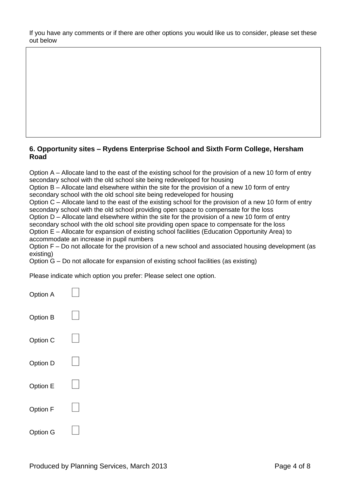If you have any comments or if there are other options you would like us to consider, please set these out below

#### **6. Opportunity sites – Rydens Enterprise School and Sixth Form College, Hersham Road**

Option A – Allocate land to the east of the existing school for the provision of a new 10 form of entry secondary school with the old school site being redeveloped for housing

Option B – Allocate land elsewhere within the site for the provision of a new 10 form of entry secondary school with the old school site being redeveloped for housing

Option C – Allocate land to the east of the existing school for the provision of a new 10 form of entry secondary school with the old school providing open space to compensate for the loss

Option D – Allocate land elsewhere within the site for the provision of a new 10 form of entry secondary school with the old school site providing open space to compensate for the loss

Option E – Allocate for expansion of existing school facilities (Education Opportunity Area) to accommodate an increase in pupil numbers

Option F – Do not allocate for the provision of a new school and associated housing development (as existing)

Option G – Do not allocate for expansion of existing school facilities (as existing)

Please indicate which option you prefer: Please select one option.

| <b>Option A</b> |  |
|-----------------|--|
| <b>Option B</b> |  |
| Option C        |  |
| Option D        |  |
| Option E        |  |
| <b>Option F</b> |  |
| Option G        |  |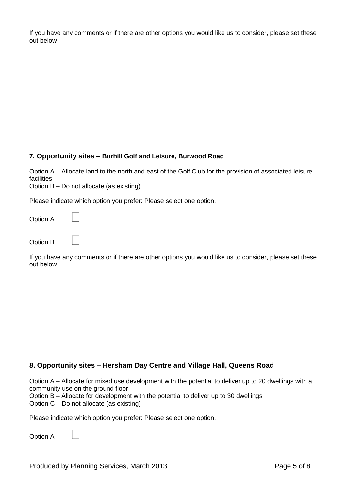If you have any comments or if there are other options you would like us to consider, please set these out below

#### **7. Opportunity sites – Burhill Golf and Leisure, Burwood Road**

Option A – Allocate land to the north and east of the Golf Club for the provision of associated leisure facilities

Option B – Do not allocate (as existing)

Please indicate which option you prefer: Please select one option.

Option A

Option B

If you have any comments or if there are other options you would like us to consider, please set these out below

#### **8. Opportunity sites – Hersham Day Centre and Village Hall, Queens Road**

Option A – Allocate for mixed use development with the potential to deliver up to 20 dwellings with a community use on the ground floor

Option B – Allocate for development with the potential to deliver up to 30 dwellings

Option C – Do not allocate (as existing)

Please indicate which option you prefer: Please select one option.

Option A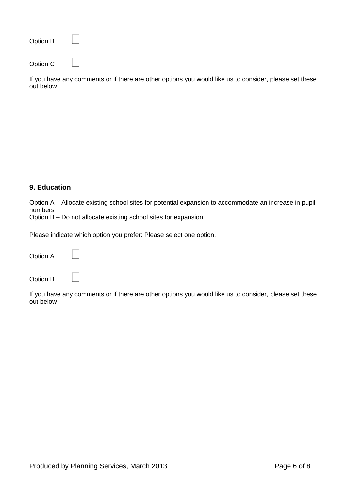Option C

If you have any comments or if there are other options you would like us to consider, please set these out below

#### **9. Education**

Option A – Allocate existing school sites for potential expansion to accommodate an increase in pupil numbers

Option B – Do not allocate existing school sites for expansion

Please indicate which option you prefer: Please select one option.

Option A

Option B

If you have any comments or if there are other options you would like us to consider, please set these out below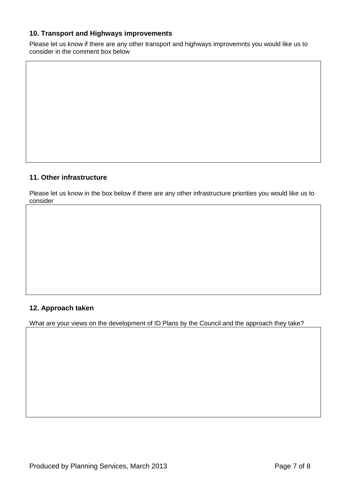## **10. Transport and Highways improvements**

Please let us know if there are any other transport and highways improvemnts you would like us to consider in the comment box below

# **11. Other infrastructure**

Please let us know in the box below if there are any other infrastructure priorities you would like us to consider

#### **12. Approach taken**

What are your views on the development of ID Plans by the Council and the approach they take?